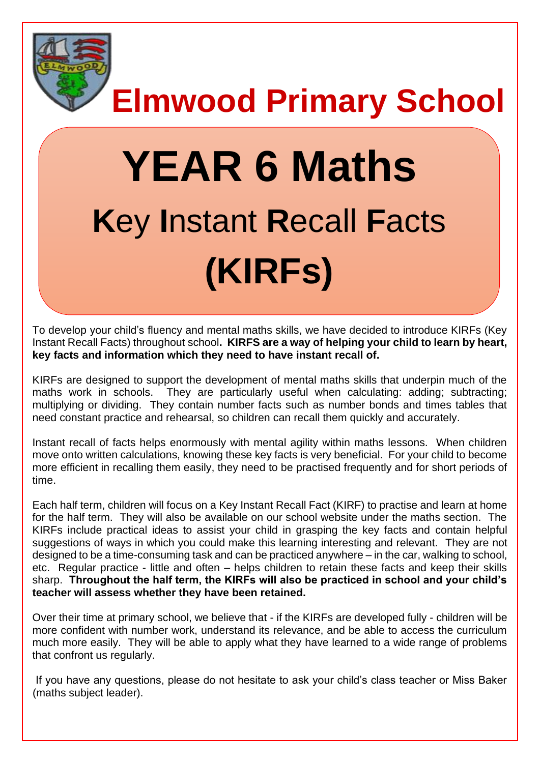

**Elmwood Primary School**

# **YEAR 6 Maths K**ey **I**nstant **R**ecall **F**acts **(KIRFs)**

To develop your child's fluency and mental maths skills, we have decided to introduce KIRFs (Key Instant Recall Facts) throughout school**. KIRFS are a way of helping your child to learn by heart, key facts and information which they need to have instant recall of.** 

KIRFs are designed to support the development of mental maths skills that underpin much of the maths work in schools. They are particularly useful when calculating: adding; subtracting; multiplying or dividing. They contain number facts such as number bonds and times tables that need constant practice and rehearsal, so children can recall them quickly and accurately.

Instant recall of facts helps enormously with mental agility within maths lessons. When children move onto written calculations, knowing these key facts is very beneficial. For your child to become more efficient in recalling them easily, they need to be practised frequently and for short periods of time.

Each half term, children will focus on a Key Instant Recall Fact (KIRF) to practise and learn at home for the half term. They will also be available on our school website under the maths section. The KIRFs include practical ideas to assist your child in grasping the key facts and contain helpful suggestions of ways in which you could make this learning interesting and relevant.They are not designed to be a time-consuming task and can be practiced anywhere – in the car, walking to school, etc. Regular practice - little and often – helps children to retain these facts and keep their skills sharp. **Throughout the half term, the KIRFs will also be practiced in school and your child's teacher will assess whether they have been retained.** 

Over their time at primary school, we believe that - if the KIRFs are developed fully - children will be more confident with number work, understand its relevance, and be able to access the curriculum much more easily. They will be able to apply what they have learned to a wide range of problems that confront us regularly.

If you have any questions, please do not hesitate to ask your child's class teacher or Miss Baker (maths subject leader).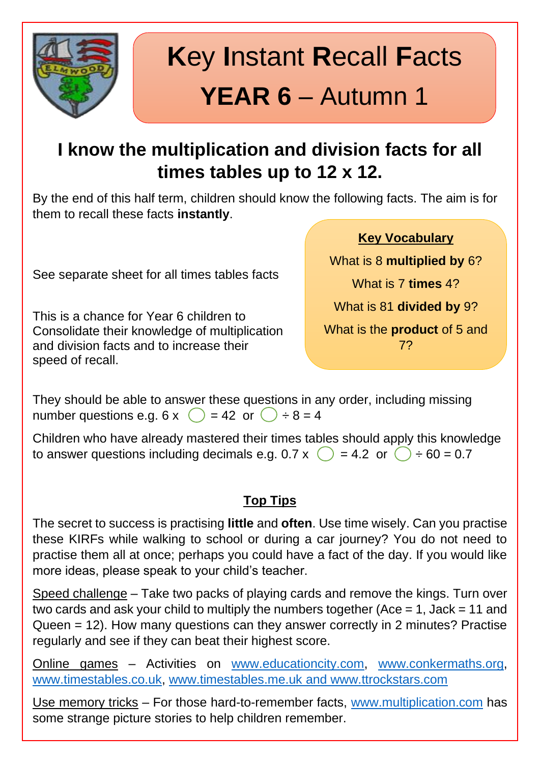

# **K**ey **I**nstant **R**ecall **F**acts **YEAR 6** – Autumn 1

### **I know the multiplication and division facts for all times tables up to 12 x 12.**

By the end of this half term, children should know the following facts. The aim is for them to recall these facts **instantly**.

See separate sheet for all times tables facts

This is a chance for Year 6 children to Consolidate their knowledge of multiplication and division facts and to increase their speed of recall.

**Key Vocabulary**

What is 8 **multiplied by** 6? What is 7 **times** 4? What is 81 **divided by** 9?

What is the **product** of 5 and 7?

They should be able to answer these questions in any order, including missing number questions e.g.  $6 \times$   $\binom{)}{}$  = 42 or  $\binom{)}{}$  ÷ 8 = 4

Children who have already mastered their times tables should apply this knowledge to answer questions including decimals e.g. 0.7 x  $\binom{1}{2}$  = 4.2 or  $\binom{1}{2}$  ÷ 60 = 0.7

#### **Top Tips**

The secret to success is practising **little** and **often**. Use time wisely. Can you practise these KIRFs while walking to school or during a car journey? You do not need to practise them all at once; perhaps you could have a fact of the day. If you would like more ideas, please speak to your child's teacher.

Speed challenge – Take two packs of playing cards and remove the kings. Turn over two cards and ask your child to multiply the numbers together (Ace  $= 1$ , Jack  $= 11$  and Queen = 12). How many questions can they answer correctly in 2 minutes? Practise regularly and see if they can beat their highest score.

Online games – Activities on [www.educationcity.com,](http://www.educationcity.com/) [www.conkermaths.org,](http://www.conkermaths.org/) [www.timestables.co.uk,](http://www.timestables.co.uk/) [www.timestables.me.uk](http://www.timestables.me.uk/) and www.ttrockstars.com

Use memory tricks – For those hard-to-remember facts, [www.multiplication.com](http://www.multiplication.com/) has some strange picture stories to help children remember.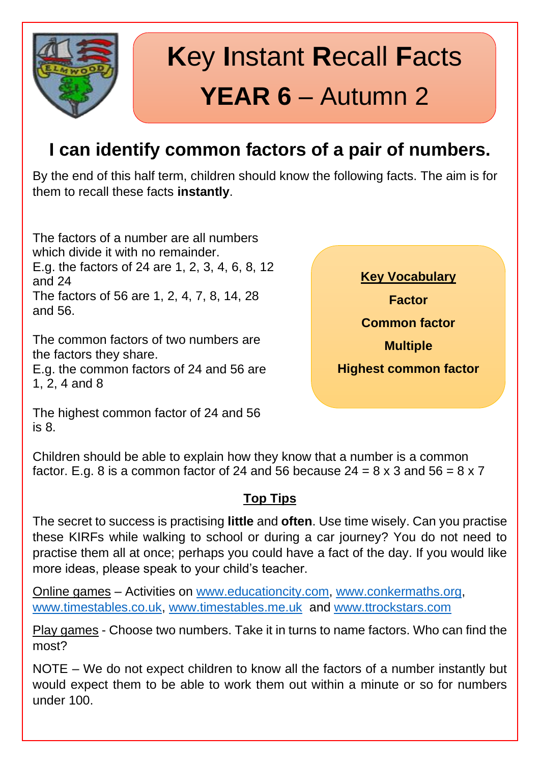

# **K**ey **I**nstant **R**ecall **F**acts **YEAR 6** – Autumn 2

### **I can identify common factors of a pair of numbers.**

By the end of this half term, children should know the following facts. The aim is for them to recall these facts **instantly**.

The factors of a number are all numbers which divide it with no remainder. E.g. the factors of 24 are 1, 2, 3, 4, 6, 8, 12 and 24 The factors of 56 are 1, 2, 4, 7, 8, 14, 28 and 56.

The common factors of two numbers are the factors they share.

E.g. the common factors of 24 and 56 are 1, 2, 4 and 8

**Key Vocabulary Factor Common factor Multiple Highest common factor**

The highest common factor of 24 and 56 is 8.

Children should be able to explain how they know that a number is a common factor. E.g. 8 is a common factor of 24 and 56 because  $24 = 8 \times 3$  and  $56 = 8 \times 7$ 

#### **Top Tips**

The secret to success is practising **little** and **often**. Use time wisely. Can you practise these KIRFs while walking to school or during a car journey? You do not need to practise them all at once; perhaps you could have a fact of the day. If you would like more ideas, please speak to your child's teacher.

Online games – Activities on [www.educationcity.com,](http://www.educationcity.com/) [www.conkermaths.org,](http://www.conkermaths.org/) [www.timestables.co.uk,](http://www.timestables.co.uk/) [www.timestables.me.uk](http://www.timestables.me.uk/) and [www.ttrockstars.com](http://www.ttrockstars.com/)

Play games - Choose two numbers. Take it in turns to name factors. Who can find the most?

NOTE – We do not expect children to know all the factors of a number instantly but would expect them to be able to work them out within a minute or so for numbers under 100.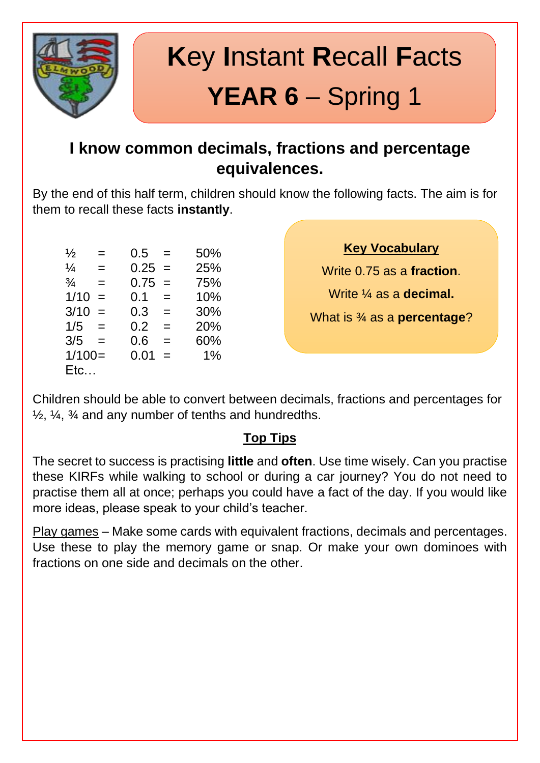

# **K**ey **I**nstant **R**ecall **F**acts **YEAR 6** – Spring 1

#### **I know common decimals, fractions and percentage equivalences.**

By the end of this half term, children should know the following facts. The aim is for them to recall these facts **instantly**.

| $\frac{1}{2}$ | $=$ | 0.5              | $=$ | 50% |
|---------------|-----|------------------|-----|-----|
| $\frac{1}{4}$ | $=$ | $0.25 =$         |     | 25% |
| $\frac{3}{4}$ | $=$ | $0.75 =$         |     | 75% |
| 1/10          | $=$ | 0.1              | $=$ | 10% |
| 3/10          | $=$ | 0.3 <sub>0</sub> | $=$ | 30% |
| 1/5           | $=$ | 0.2              | $=$ | 20% |
| 3/5           | $=$ | 0.6              | $=$ | 60% |
| $1/100=$      |     | 0.01             | $=$ | 1%  |
| Etc           |     |                  |     |     |

**Key Vocabulary**

Write 0.75 as a **fraction**.

Write ¼ as a **decimal.**

What is ¾ as a **percentage**?

Children should be able to convert between decimals, fractions and percentages for  $\frac{1}{2}$ ,  $\frac{1}{4}$ ,  $\frac{3}{4}$  and any number of tenths and hundredths.

#### **Top Tips**

The secret to success is practising **little** and **often**. Use time wisely. Can you practise these KIRFs while walking to school or during a car journey? You do not need to practise them all at once; perhaps you could have a fact of the day. If you would like more ideas, please speak to your child's teacher.

Play games – Make some cards with equivalent fractions, decimals and percentages. Use these to play the memory game or snap. Or make your own dominoes with fractions on one side and decimals on the other.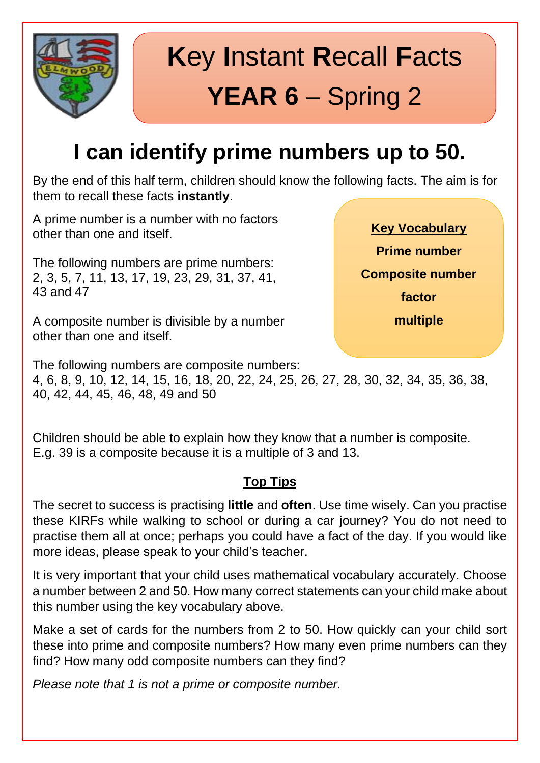

# **K**ey **I**nstant **R**ecall **F**acts **YEAR 6** – Spring 2

### **I can identify prime numbers up to 50.**

By the end of this half term, children should know the following facts. The aim is for them to recall these facts **instantly**.

A prime number is a number with no factors other than one and itself.

The following numbers are prime numbers: 2, 3, 5, 7, 11, 13, 17, 19, 23, 29, 31, 37, 41, 43 and 47

A composite number is divisible by a number other than one and itself.

**Key Vocabulary Prime number Composite number factor multiple**

The following numbers are composite numbers:

4, 6, 8, 9, 10, 12, 14, 15, 16, 18, 20, 22, 24, 25, 26, 27, 28, 30, 32, 34, 35, 36, 38, 40, 42, 44, 45, 46, 48, 49 and 50

Children should be able to explain how they know that a number is composite. E.g. 39 is a composite because it is a multiple of 3 and 13.

#### **Top Tips**

The secret to success is practising **little** and **often**. Use time wisely. Can you practise these KIRFs while walking to school or during a car journey? You do not need to practise them all at once; perhaps you could have a fact of the day. If you would like more ideas, please speak to your child's teacher.

It is very important that your child uses mathematical vocabulary accurately. Choose a number between 2 and 50. How many correct statements can your child make about this number using the key vocabulary above.

Make a set of cards for the numbers from 2 to 50. How quickly can your child sort these into prime and composite numbers? How many even prime numbers can they find? How many odd composite numbers can they find?

*Please note that 1 is not a prime or composite number.*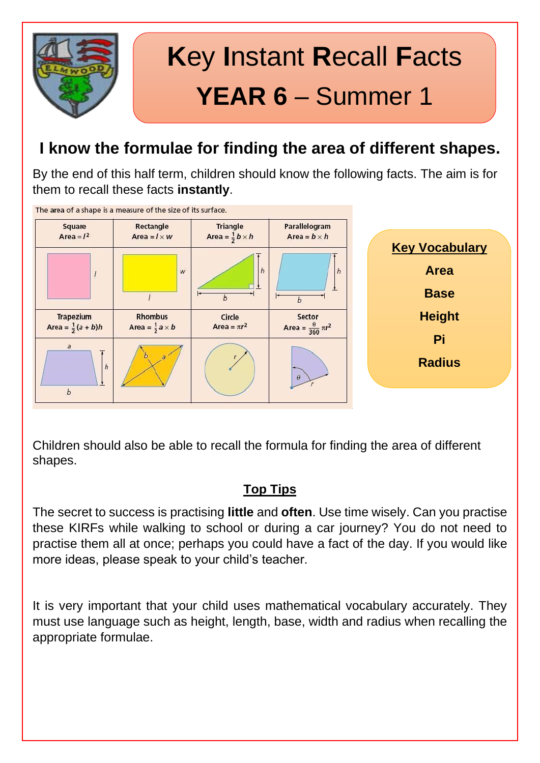

#### **I know the formulae for finding the area of different shapes.**

By the end of this half term, children should know the following facts. The aim is for them to recall these facts **instantly**.



Children should also be able to recall the formula for finding the area of different shapes.

#### **Top Tips**

The secret to success is practising **little** and **often**. Use time wisely. Can you practise these KIRFs while walking to school or during a car journey? You do not need to practise them all at once; perhaps you could have a fact of the day. If you would like more ideas, please speak to your child's teacher.

It is very important that your child uses mathematical vocabulary accurately. They must use language such as height, length, base, width and radius when recalling the appropriate formulae.